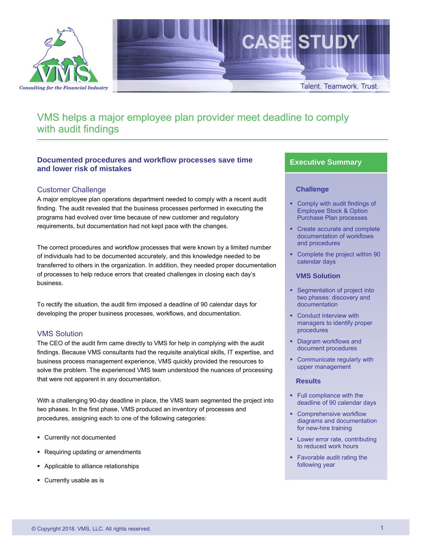



# VMS helps a major employee plan provider meet deadline to comply with audit findings

# **Documented procedures and workflow processes save time and lower risk of mistakes**

# Customer Challenge

A major employee plan operations department needed to comply with a recent audit finding. The audit revealed that the business processes performed in executing the programs had evolved over time because of new customer and regulatory requirements, but documentation had not kept pace with the changes.

The correct procedures and workflow processes that were known by a limited number of individuals had to be documented accurately, and this knowledge needed to be transferred to others in the organization. In addition, they needed proper documentation of processes to help reduce errors that created challenges in closing each day's business.

To rectify the situation, the audit firm imposed a deadline of 90 calendar days for developing the proper business processes, workflows, and documentation.

## VMS Solution

The CEO of the audit firm came directly to VMS for help in complying with the audit findings. Because VMS consultants had the requisite analytical skills, IT expertise, and business process management experience, VMS quickly provided the resources to solve the problem. The experienced VMS team understood the nuances of processing that were not apparent in any documentation.

With a challenging 90-day deadline in place, the VMS team segmented the project into two phases. In the first phase, VMS produced an inventory of processes and procedures, assigning each to one of the following categories:

- Currently not documented
- Requiring updating or amendments
- Applicable to alliance relationships
- Currently usable as is

## **Executive Summary**

#### **Challenge**

- Comply with audit findings of Employee Stock & Option Purchase Plan processes
- Create accurate and complete documentation of workflows and procedures
- Complete the project within 90 calendar days

#### **VMS Solution**

- **Segmentation of project into** two phases: discovery and documentation
- Conduct interview with managers to identify proper procedures
- **Diagram workflows and** document procedures
- **Communicate regularly with** upper management

#### **Results**

- **Full compliance with the** deadline of 90 calendar days
- Comprehensive workflow diagrams and documentation for new-hire training
- **Lower error rate, contributing** to reduced work hours
- **Favorable audit rating the** following year